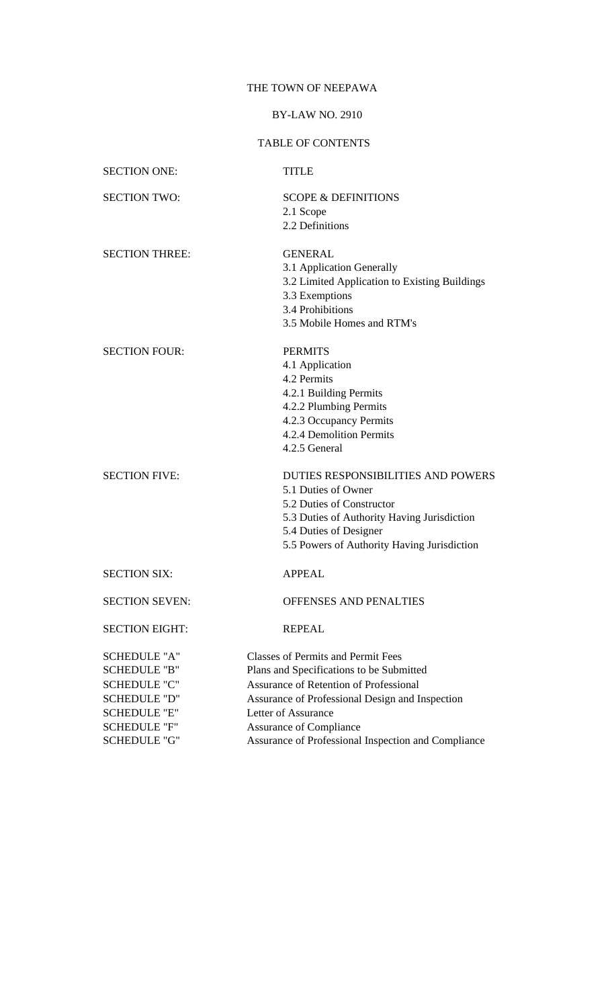# THE TOWN OF NEEPAWA

## BY-LAW NO. 2910

# TABLE OF CONTENTS

| <b>SECTION ONE:</b>                                                                                                                                           | <b>TITLE</b>                                                                                                                                                                                                                                                                                              |
|---------------------------------------------------------------------------------------------------------------------------------------------------------------|-----------------------------------------------------------------------------------------------------------------------------------------------------------------------------------------------------------------------------------------------------------------------------------------------------------|
| <b>SECTION TWO:</b>                                                                                                                                           | <b>SCOPE &amp; DEFINITIONS</b><br>2.1 Scope<br>2.2 Definitions                                                                                                                                                                                                                                            |
| <b>SECTION THREE:</b>                                                                                                                                         | <b>GENERAL</b><br>3.1 Application Generally<br>3.2 Limited Application to Existing Buildings<br>3.3 Exemptions<br>3.4 Prohibitions<br>3.5 Mobile Homes and RTM's                                                                                                                                          |
| <b>SECTION FOUR:</b>                                                                                                                                          | <b>PERMITS</b><br>4.1 Application<br>4.2 Permits<br>4.2.1 Building Permits<br>4.2.2 Plumbing Permits<br>4.2.3 Occupancy Permits<br>4.2.4 Demolition Permits<br>4.2.5 General                                                                                                                              |
| <b>SECTION FIVE:</b>                                                                                                                                          | DUTIES RESPONSIBILITIES AND POWERS<br>5.1 Duties of Owner<br>5.2 Duties of Constructor<br>5.3 Duties of Authority Having Jurisdiction<br>5.4 Duties of Designer<br>5.5 Powers of Authority Having Jurisdiction                                                                                            |
| <b>SECTION SIX:</b>                                                                                                                                           | <b>APPEAL</b>                                                                                                                                                                                                                                                                                             |
| <b>SECTION SEVEN:</b>                                                                                                                                         | OFFENSES AND PENALTIES                                                                                                                                                                                                                                                                                    |
| <b>SECTION EIGHT:</b>                                                                                                                                         | <b>REPEAL</b>                                                                                                                                                                                                                                                                                             |
| <b>SCHEDULE "A"</b><br><b>SCHEDULE "B"</b><br><b>SCHEDULE "C"</b><br><b>SCHEDULE "D"</b><br><b>SCHEDULE "E"</b><br><b>SCHEDULE "F"</b><br><b>SCHEDULE "G"</b> | <b>Classes of Permits and Permit Fees</b><br>Plans and Specifications to be Submitted<br><b>Assurance of Retention of Professional</b><br>Assurance of Professional Design and Inspection<br>Letter of Assurance<br><b>Assurance of Compliance</b><br>Assurance of Professional Inspection and Compliance |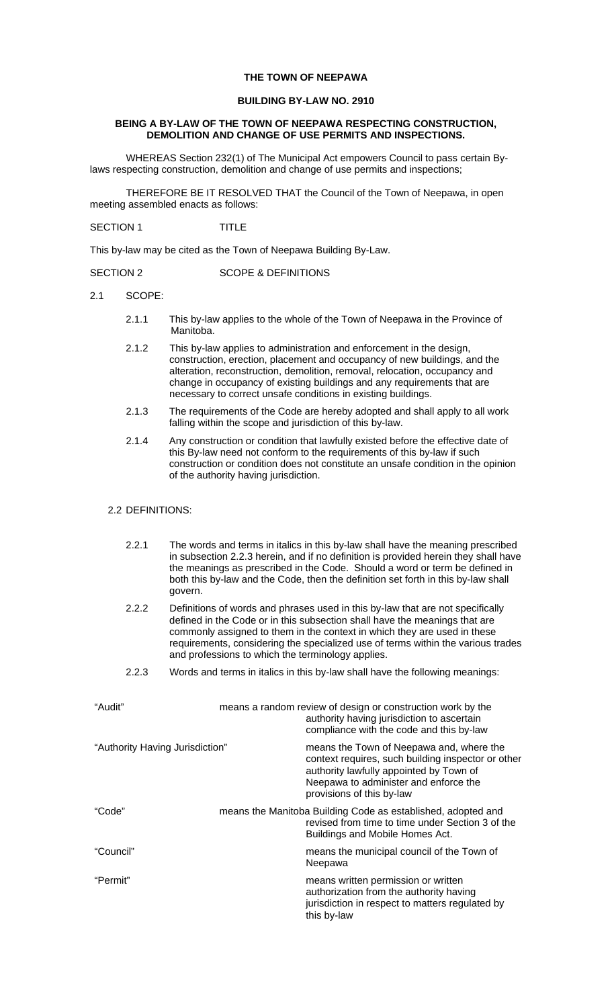### **THE TOWN OF NEEPAWA**

#### **BUILDING BY-LAW NO. 2910**

## **BEING A BY-LAW OF THE TOWN OF NEEPAWA RESPECTING CONSTRUCTION, DEMOLITION AND CHANGE OF USE PERMITS AND INSPECTIONS.**

 WHEREAS Section 232(1) of The Municipal Act empowers Council to pass certain Bylaws respecting construction, demolition and change of use permits and inspections;

 THEREFORE BE IT RESOLVED THAT the Council of the Town of Neepawa, in open meeting assembled enacts as follows:

SECTION 1 TITLE

This by-law may be cited as the Town of Neepawa Building By-Law.

## SECTION 2 SCOPE & DEFINITIONS

- 2.1 SCOPE:
	- 2.1.1 This by-law applies to the whole of the Town of Neepawa in the Province of Manitoba.
	- 2.1.2 This by-law applies to administration and enforcement in the design, construction, erection, placement and occupancy of new buildings, and the alteration, reconstruction, demolition, removal, relocation, occupancy and change in occupancy of existing buildings and any requirements that are necessary to correct unsafe conditions in existing buildings.
	- 2.1.3 The requirements of the Code are hereby adopted and shall apply to all work falling within the scope and jurisdiction of this by-law.
	- 2.1.4 Any construction or condition that lawfully existed before the effective date of this By-law need not conform to the requirements of this by-law if such construction or condition does not constitute an unsafe condition in the opinion of the authority having jurisdiction.

#### 2.2 DEFINITIONS:

| 2.2.1                           | govern.                                           | The words and terms in italics in this by-law shall have the meaning prescribed<br>in subsection 2.2.3 herein, and if no definition is provided herein they shall have<br>the meanings as prescribed in the Code. Should a word or term be defined in<br>both this by-law and the Code, then the definition set forth in this by-law shall |
|---------------------------------|---------------------------------------------------|--------------------------------------------------------------------------------------------------------------------------------------------------------------------------------------------------------------------------------------------------------------------------------------------------------------------------------------------|
| 2.2.2                           | and professions to which the terminology applies. | Definitions of words and phrases used in this by-law that are not specifically<br>defined in the Code or in this subsection shall have the meanings that are<br>commonly assigned to them in the context in which they are used in these<br>requirements, considering the specialized use of terms within the various trades               |
| 2.2.3                           |                                                   | Words and terms in italics in this by-law shall have the following meanings:                                                                                                                                                                                                                                                               |
| "Audit"                         |                                                   | means a random review of design or construction work by the<br>authority having jurisdiction to ascertain<br>compliance with the code and this by-law                                                                                                                                                                                      |
| "Authority Having Jurisdiction" |                                                   | means the Town of Neepawa and, where the<br>context requires, such building inspector or other<br>authority lawfully appointed by Town of<br>Neepawa to administer and enforce the<br>provisions of this by-law                                                                                                                            |
| "Code"                          |                                                   | means the Manitoba Building Code as established, adopted and<br>revised from time to time under Section 3 of the<br>Buildings and Mobile Homes Act.                                                                                                                                                                                        |
| "Council"                       |                                                   | means the municipal council of the Town of<br>Neepawa                                                                                                                                                                                                                                                                                      |
| "Permit"                        |                                                   | means written permission or written<br>authorization from the authority having<br>jurisdiction in respect to matters regulated by<br>this by-law                                                                                                                                                                                           |
|                                 |                                                   |                                                                                                                                                                                                                                                                                                                                            |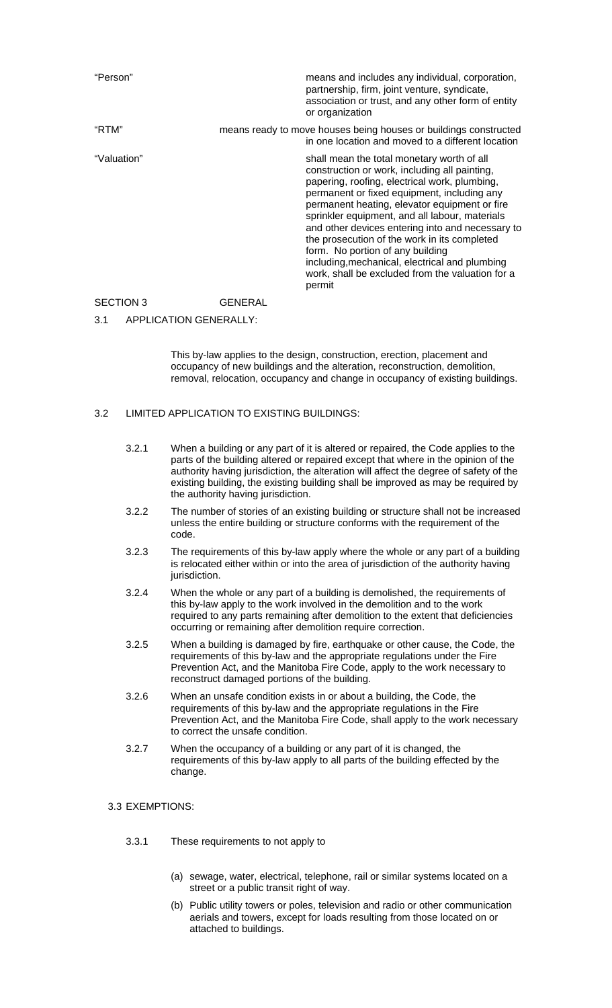| "Person"    | means and includes any individual, corporation,<br>partnership, firm, joint venture, syndicate,<br>association or trust, and any other form of entity<br>or organization                                                                                                                                                                                                                                                                                                                                                                               |
|-------------|--------------------------------------------------------------------------------------------------------------------------------------------------------------------------------------------------------------------------------------------------------------------------------------------------------------------------------------------------------------------------------------------------------------------------------------------------------------------------------------------------------------------------------------------------------|
| "RTM"       | means ready to move houses being houses or buildings constructed<br>in one location and moved to a different location                                                                                                                                                                                                                                                                                                                                                                                                                                  |
| "Valuation" | shall mean the total monetary worth of all<br>construction or work, including all painting,<br>papering, roofing, electrical work, plumbing,<br>permanent or fixed equipment, including any<br>permanent heating, elevator equipment or fire<br>sprinkler equipment, and all labour, materials<br>and other devices entering into and necessary to<br>the prosecution of the work in its completed<br>form. No portion of any building<br>including, mechanical, electrical and plumbing<br>work, shall be excluded from the valuation for a<br>permit |

# SECTION 3 GENERAL

## 3.1 APPLICATION GENERALLY:

 This by-law applies to the design, construction, erection, placement and occupancy of new buildings and the alteration, reconstruction, demolition, removal, relocation, occupancy and change in occupancy of existing buildings.

## 3.2 LIMITED APPLICATION TO EXISTING BUILDINGS:

| 3.2.1 | When a building or any part of it is altered or repaired, the Code applies to the     |
|-------|---------------------------------------------------------------------------------------|
|       | parts of the building altered or repaired except that where in the opinion of the     |
|       | authority having jurisdiction, the alteration will affect the degree of safety of the |
|       | existing building, the existing building shall be improved as may be required by      |
|       | the authority having jurisdiction.                                                    |

- 3.2.2 The number of stories of an existing building or structure shall not be increased unless the entire building or structure conforms with the requirement of the code.
- 3.2.3 The requirements of this by-law apply where the whole or any part of a building is relocated either within or into the area of jurisdiction of the authority having jurisdiction.
- 3.2.4 When the whole or any part of a building is demolished, the requirements of this by-law apply to the work involved in the demolition and to the work required to any parts remaining after demolition to the extent that deficiencies occurring or remaining after demolition require correction.
- 3.2.5 When a building is damaged by fire, earthquake or other cause, the Code, the requirements of this by-law and the appropriate regulations under the Fire Prevention Act, and the Manitoba Fire Code, apply to the work necessary to reconstruct damaged portions of the building.
- 3.2.6 When an unsafe condition exists in or about a building, the Code, the requirements of this by-law and the appropriate regulations in the Fire Prevention Act, and the Manitoba Fire Code, shall apply to the work necessary to correct the unsafe condition.
- 3.2.7 When the occupancy of a building or any part of it is changed, the requirements of this by-law apply to all parts of the building effected by the change.

## 3.3 EXEMPTIONS:

- 3.3.1 These requirements to not apply to
	- (a) sewage, water, electrical, telephone, rail or similar systems located on a street or a public transit right of way.
	- (b) Public utility towers or poles, television and radio or other communication aerials and towers, except for loads resulting from those located on or attached to buildings.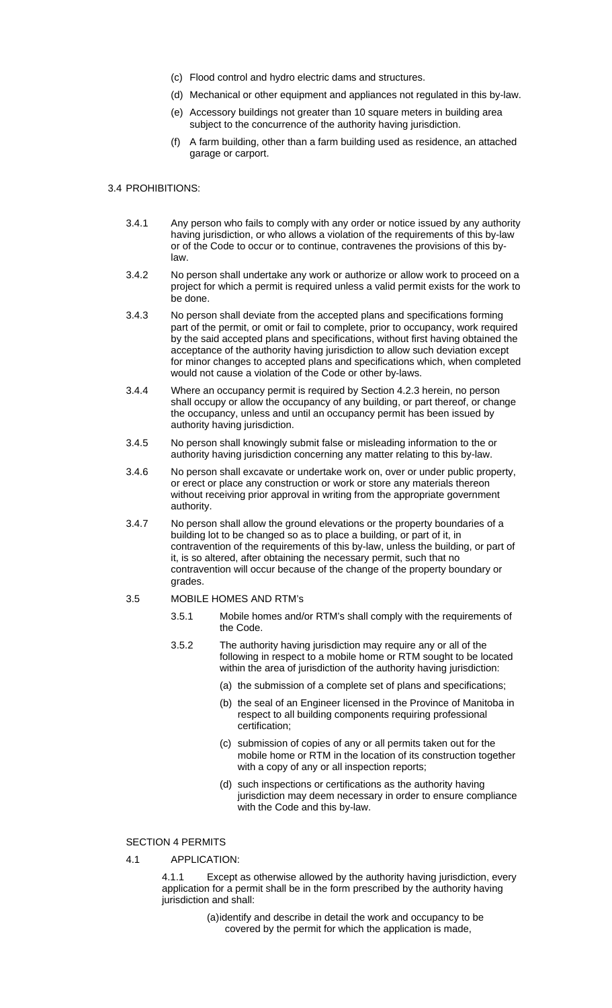- (c) Flood control and hydro electric dams and structures.
- (d) Mechanical or other equipment and appliances not regulated in this by-law.
- (e) Accessory buildings not greater than 10 square meters in building area subject to the concurrence of the authority having jurisdiction.
- (f) A farm building, other than a farm building used as residence, an attached garage or carport.

#### 3.4 PROHIBITIONS:

- 3.4.1 Any person who fails to comply with any order or notice issued by any authority having jurisdiction, or who allows a violation of the requirements of this by-law or of the Code to occur or to continue, contravenes the provisions of this bylaw.
- 3.4.2 No person shall undertake any work or authorize or allow work to proceed on a project for which a permit is required unless a valid permit exists for the work to be done.
- 3.4.3 No person shall deviate from the accepted plans and specifications forming part of the permit, or omit or fail to complete, prior to occupancy, work required by the said accepted plans and specifications, without first having obtained the acceptance of the authority having jurisdiction to allow such deviation except for minor changes to accepted plans and specifications which, when completed would not cause a violation of the Code or other by-laws.
- 3.4.4 Where an occupancy permit is required by Section 4.2.3 herein, no person shall occupy or allow the occupancy of any building, or part thereof, or change the occupancy, unless and until an occupancy permit has been issued by authority having jurisdiction.
- 3.4.5 No person shall knowingly submit false or misleading information to the or authority having jurisdiction concerning any matter relating to this by-law.
- 3.4.6 No person shall excavate or undertake work on, over or under public property, or erect or place any construction or work or store any materials thereon without receiving prior approval in writing from the appropriate government authority.
- 3.4.7 No person shall allow the ground elevations or the property boundaries of a building lot to be changed so as to place a building, or part of it, in contravention of the requirements of this by-law, unless the building, or part of it, is so altered, after obtaining the necessary permit, such that no contravention will occur because of the change of the property boundary or grades.

## 3.5 MOBILE HOMES AND RTM's

- 3.5.1 Mobile homes and/or RTM's shall comply with the requirements of the Code.
- 3.5.2 The authority having jurisdiction may require any or all of the following in respect to a mobile home or RTM sought to be located within the area of jurisdiction of the authority having jurisdiction:
	- (a) the submission of a complete set of plans and specifications;
	- (b) the seal of an Engineer licensed in the Province of Manitoba in respect to all building components requiring professional certification;
	- (c) submission of copies of any or all permits taken out for the mobile home or RTM in the location of its construction together with a copy of any or all inspection reports;
	- (d) such inspections or certifications as the authority having jurisdiction may deem necessary in order to ensure compliance with the Code and this by-law.

#### SECTION 4 PERMITS

4.1 APPLICATION:

4.1.1 Except as otherwise allowed by the authority having jurisdiction, every application for a permit shall be in the form prescribed by the authority having jurisdiction and shall:

> (a) identify and describe in detail the work and occupancy to be covered by the permit for which the application is made,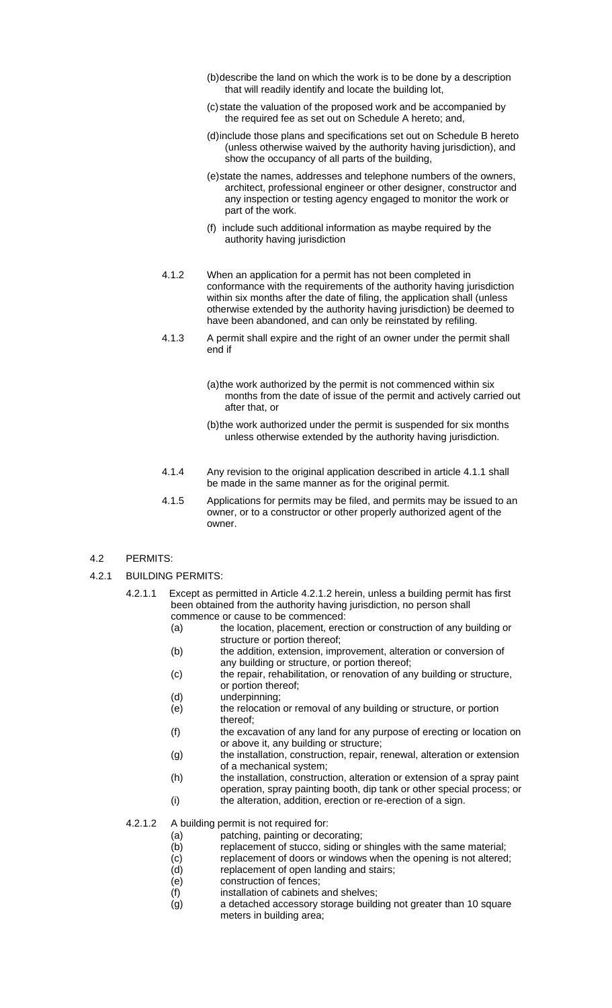- (b) describe the land on which the work is to be done by a description that will readily identify and locate the building lot,
- (c) state the valuation of the proposed work and be accompanied by the required fee as set out on Schedule A hereto; and,
- (d) include those plans and specifications set out on Schedule B hereto (unless otherwise waived by the authority having jurisdiction), and show the occupancy of all parts of the building,
- (e) state the names, addresses and telephone numbers of the owners, architect, professional engineer or other designer, constructor and any inspection or testing agency engaged to monitor the work or part of the work.
- (f) include such additional information as maybe required by the authority having jurisdiction
- 4.1.2 When an application for a permit has not been completed in conformance with the requirements of the authority having jurisdiction within six months after the date of filing, the application shall (unless otherwise extended by the authority having jurisdiction) be deemed to have been abandoned, and can only be reinstated by refiling.
- 4.1.3 A permit shall expire and the right of an owner under the permit shall end if
	- (a) the work authorized by the permit is not commenced within six months from the date of issue of the permit and actively carried out after that, or
	- (b) the work authorized under the permit is suspended for six months unless otherwise extended by the authority having jurisdiction.
- 4.1.4 Any revision to the original application described in article 4.1.1 shall be made in the same manner as for the original permit.
- 4.1.5 Applications for permits may be filed, and permits may be issued to an owner, or to a constructor or other properly authorized agent of the owner.
- 4.2 PERMITS:
- 4.2.1 BUILDING PERMITS:
	- 4.2.1.1 Except as permitted in Article 4.2.1.2 herein, unless a building permit has first been obtained from the authority having jurisdiction, no person shall commence or cause to be commenced:
		- (a) the location, placement, erection or construction of any building or structure or portion thereof;
		- (b) the addition, extension, improvement, alteration or conversion of any building or structure, or portion thereof;
		- (c) the repair, rehabilitation, or renovation of any building or structure, or portion thereof;
		- (d) underpinning;
		- (e) the relocation or removal of any building or structure, or portion thereof;
		- (f) the excavation of any land for any purpose of erecting or location on or above it, any building or structure;
		- (g) the installation, construction, repair, renewal, alteration or extension of a mechanical system;
		- (h) the installation, construction, alteration or extension of a spray paint operation, spray painting booth, dip tank or other special process; or
		- (i) the alteration, addition, erection or re-erection of a sign.

4.2.1.2 A building permit is not required for:

- (a) patching, painting or decorating;
- (b) replacement of stucco, siding or shingles with the same material;
- (c) replacement of doors or windows when the opening is not altered;
- (d) replacement of open landing and stairs;
- (e) construction of fences;
- (f) installation of cabinets and shelves;
- (g) a detached accessory storage building not greater than 10 square meters in building area;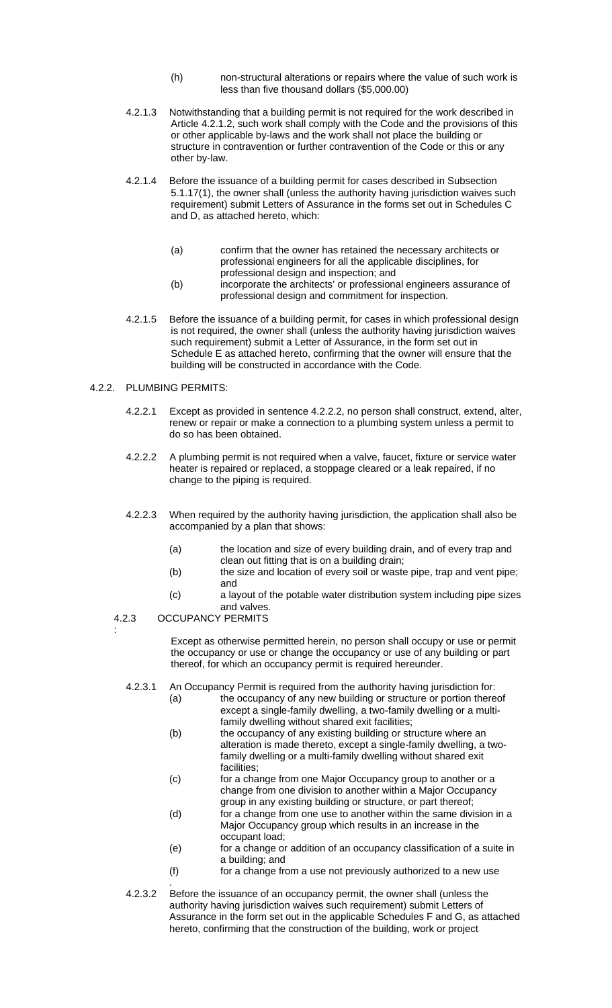- (h) non-structural alterations or repairs where the value of such work is less than five thousand dollars (\$5,000.00)
- 4.2.1.3 Notwithstanding that a building permit is not required for the work described in Article 4.2.1.2, such work shall comply with the Code and the provisions of this or other applicable by-laws and the work shall not place the building or structure in contravention or further contravention of the Code or this or any other by-law.
- 4.2.1.4 Before the issuance of a building permit for cases described in Subsection 5.1.17(1), the owner shall (unless the authority having jurisdiction waives such requirement) submit Letters of Assurance in the forms set out in Schedules C and D, as attached hereto, which:
	- (a) confirm that the owner has retained the necessary architects or professional engineers for all the applicable disciplines, for professional design and inspection; and
	- (b) incorporate the architects' or professional engineers assurance of professional design and commitment for inspection.
- 4.2.1.5 Before the issuance of a building permit, for cases in which professional design is not required, the owner shall (unless the authority having jurisdiction waives such requirement) submit a Letter of Assurance, in the form set out in Schedule E as attached hereto, confirming that the owner will ensure that the building will be constructed in accordance with the Code.

## 4.2.2. PLUMBING PERMITS:

- 4.2.2.1 Except as provided in sentence 4.2.2.2, no person shall construct, extend, alter, renew or repair or make a connection to a plumbing system unless a permit to do so has been obtained.
- 4.2.2.2 A plumbing permit is not required when a valve, faucet, fixture or service water heater is repaired or replaced, a stoppage cleared or a leak repaired, if no change to the piping is required.
- 4.2.2.3 When required by the authority having jurisdiction, the application shall also be accompanied by a plan that shows:
	- (a) the location and size of every building drain, and of every trap and clean out fitting that is on a building drain;
	- (b) the size and location of every soil or waste pipe, trap and vent pipe; and
	- (c) a layout of the potable water distribution system including pipe sizes and valves.
- 4.2.3 OCCUPANCY PERMITS

:

 Except as otherwise permitted herein, no person shall occupy or use or permit the occupancy or use or change the occupancy or use of any building or part thereof, for which an occupancy permit is required hereunder.

- 4.2.3.1 An Occupancy Permit is required from the authority having jurisdiction for:
	- (a) the occupancy of any new building or structure or portion thereof except a single-family dwelling, a two-family dwelling or a multifamily dwelling without shared exit facilities;
	- (b) the occupancy of any existing building or structure where an alteration is made thereto, except a single-family dwelling, a twofamily dwelling or a multi-family dwelling without shared exit facilities;
	- (c) for a change from one Major Occupancy group to another or a change from one division to another within a Major Occupancy group in any existing building or structure, or part thereof;
	- (d) for a change from one use to another within the same division in a Major Occupancy group which results in an increase in the occupant load;
	- (e) for a change or addition of an occupancy classification of a suite in a building; and
	- (f) for a change from a use not previously authorized to a new use
- . 4.2.3.2 Before the issuance of an occupancy permit, the owner shall (unless the authority having jurisdiction waives such requirement) submit Letters of Assurance in the form set out in the applicable Schedules F and G, as attached hereto, confirming that the construction of the building, work or project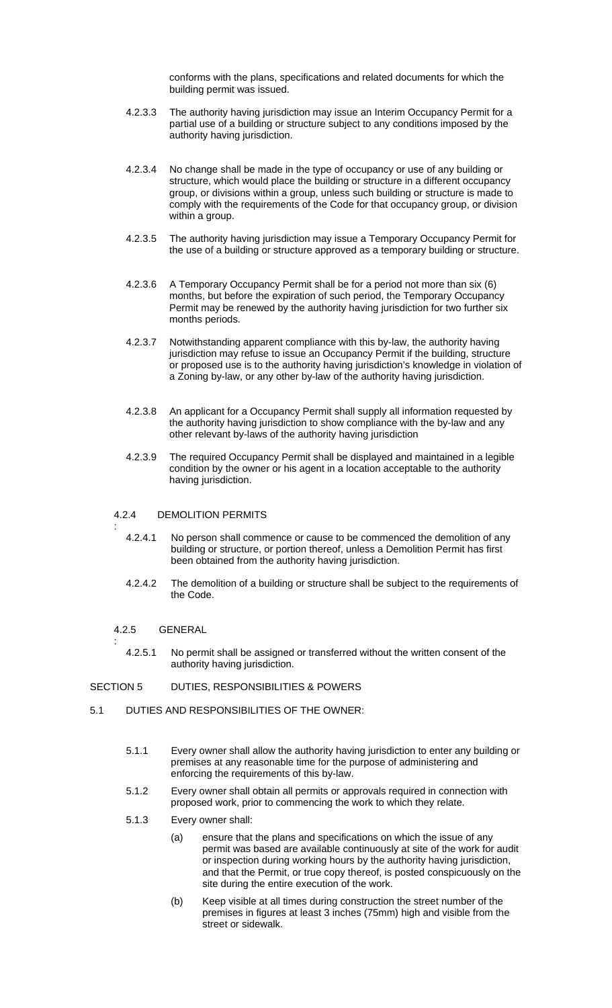conforms with the plans, specifications and related documents for which the building permit was issued.

- 4.2.3.3 The authority having jurisdiction may issue an Interim Occupancy Permit for a partial use of a building or structure subject to any conditions imposed by the authority having jurisdiction.
- 4.2.3.4 No change shall be made in the type of occupancy or use of any building or structure, which would place the building or structure in a different occupancy group, or divisions within a group, unless such building or structure is made to comply with the requirements of the Code for that occupancy group, or division within a group.
- 4.2.3.5 The authority having jurisdiction may issue a Temporary Occupancy Permit for the use of a building or structure approved as a temporary building or structure.
- 4.2.3.6 A Temporary Occupancy Permit shall be for a period not more than six (6) months, but before the expiration of such period, the Temporary Occupancy Permit may be renewed by the authority having jurisdiction for two further six months periods.
- 4.2.3.7 Notwithstanding apparent compliance with this by-law, the authority having jurisdiction may refuse to issue an Occupancy Permit if the building, structure or proposed use is to the authority having jurisdiction's knowledge in violation of a Zoning by-law, or any other by-law of the authority having jurisdiction.
- 4.2.3.8 An applicant for a Occupancy Permit shall supply all information requested by the authority having jurisdiction to show compliance with the by-law and any other relevant by-laws of the authority having jurisdiction
- 4.2.3.9 The required Occupancy Permit shall be displayed and maintained in a legible condition by the owner or his agent in a location acceptable to the authority having jurisdiction.

## 4.2.4 DEMOLITION PERMITS

- 4.2.4.1 No person shall commence or cause to be commenced the demolition of any building or structure, or portion thereof, unless a Demolition Permit has first been obtained from the authority having jurisdiction.
- 4.2.4.2 The demolition of a building or structure shall be subject to the requirements of the Code.

4.2.5 GENERAL

:

:

4.2.5.1 No permit shall be assigned or transferred without the written consent of the authority having jurisdiction.

## SECTION 5 DUTIES, RESPONSIBILITIES & POWERS

- 5.1 DUTIES AND RESPONSIBILITIES OF THE OWNER:
	- 5.1.1 Every owner shall allow the authority having jurisdiction to enter any building or premises at any reasonable time for the purpose of administering and enforcing the requirements of this by-law.
	- 5.1.2 Every owner shall obtain all permits or approvals required in connection with proposed work, prior to commencing the work to which they relate.
	- 5.1.3 Every owner shall:
		- (a) ensure that the plans and specifications on which the issue of any permit was based are available continuously at site of the work for audit or inspection during working hours by the authority having jurisdiction, and that the Permit, or true copy thereof, is posted conspicuously on the site during the entire execution of the work.
		- (b) Keep visible at all times during construction the street number of the premises in figures at least 3 inches (75mm) high and visible from the street or sidewalk.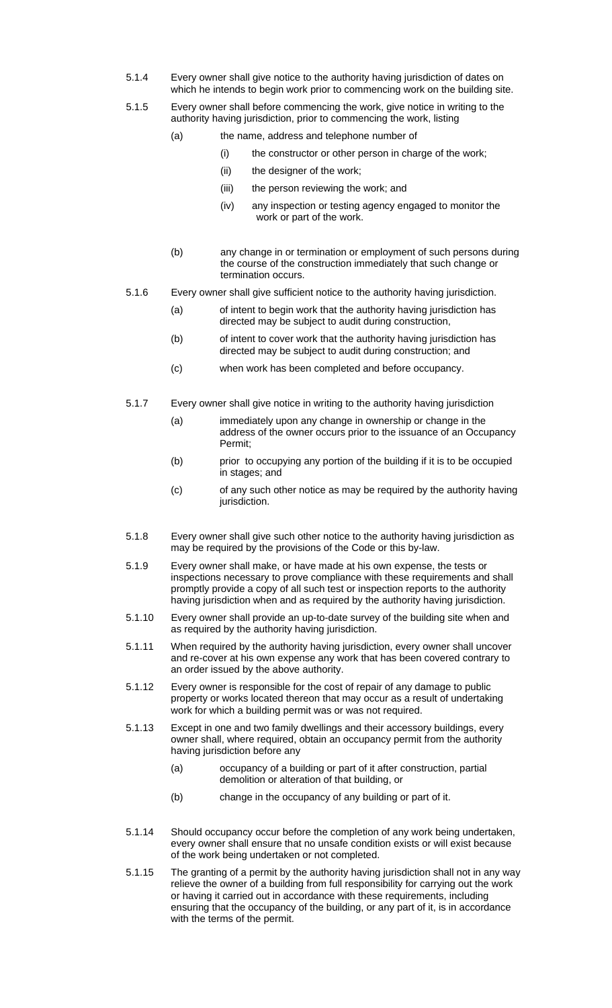- 5.1.4 Every owner shall give notice to the authority having jurisdiction of dates on which he intends to begin work prior to commencing work on the building site.
- 5.1.5 Every owner shall before commencing the work, give notice in writing to the authority having jurisdiction, prior to commencing the work, listing
	- (a) the name, address and telephone number of
		- (i) the constructor or other person in charge of the work;
		- (ii) the designer of the work;
		- (iii) the person reviewing the work; and
		- (iv) any inspection or testing agency engaged to monitor the work or part of the work.
	- (b) any change in or termination or employment of such persons during the course of the construction immediately that such change or termination occurs.
- 5.1.6 Every owner shall give sufficient notice to the authority having jurisdiction.
	- (a) of intent to begin work that the authority having jurisdiction has directed may be subject to audit during construction,
	- (b) of intent to cover work that the authority having jurisdiction has directed may be subject to audit during construction; and
	- (c) when work has been completed and before occupancy.
- 5.1.7 Every owner shall give notice in writing to the authority having jurisdiction
	- (a) immediately upon any change in ownership or change in the address of the owner occurs prior to the issuance of an Occupancy Permit;
	- (b) prior to occupying any portion of the building if it is to be occupied in stages; and
	- (c) of any such other notice as may be required by the authority having jurisdiction.
- 5.1.8 Every owner shall give such other notice to the authority having jurisdiction as may be required by the provisions of the Code or this by-law.
- 5.1.9 Every owner shall make, or have made at his own expense, the tests or inspections necessary to prove compliance with these requirements and shall promptly provide a copy of all such test or inspection reports to the authority having jurisdiction when and as required by the authority having jurisdiction.
- 5.1.10 Every owner shall provide an up-to-date survey of the building site when and as required by the authority having jurisdiction.
- 5.1.11 When required by the authority having jurisdiction, every owner shall uncover and re-cover at his own expense any work that has been covered contrary to an order issued by the above authority.
- 5.1.12 Every owner is responsible for the cost of repair of any damage to public property or works located thereon that may occur as a result of undertaking work for which a building permit was or was not required.
- 5.1.13 Except in one and two family dwellings and their accessory buildings, every owner shall, where required, obtain an occupancy permit from the authority having jurisdiction before any
	- (a) occupancy of a building or part of it after construction, partial demolition or alteration of that building, or
	- (b) change in the occupancy of any building or part of it.
- 5.1.14 Should occupancy occur before the completion of any work being undertaken, every owner shall ensure that no unsafe condition exists or will exist because of the work being undertaken or not completed.
- 5.1.15 The granting of a permit by the authority having jurisdiction shall not in any way relieve the owner of a building from full responsibility for carrying out the work or having it carried out in accordance with these requirements, including ensuring that the occupancy of the building, or any part of it, is in accordance with the terms of the permit.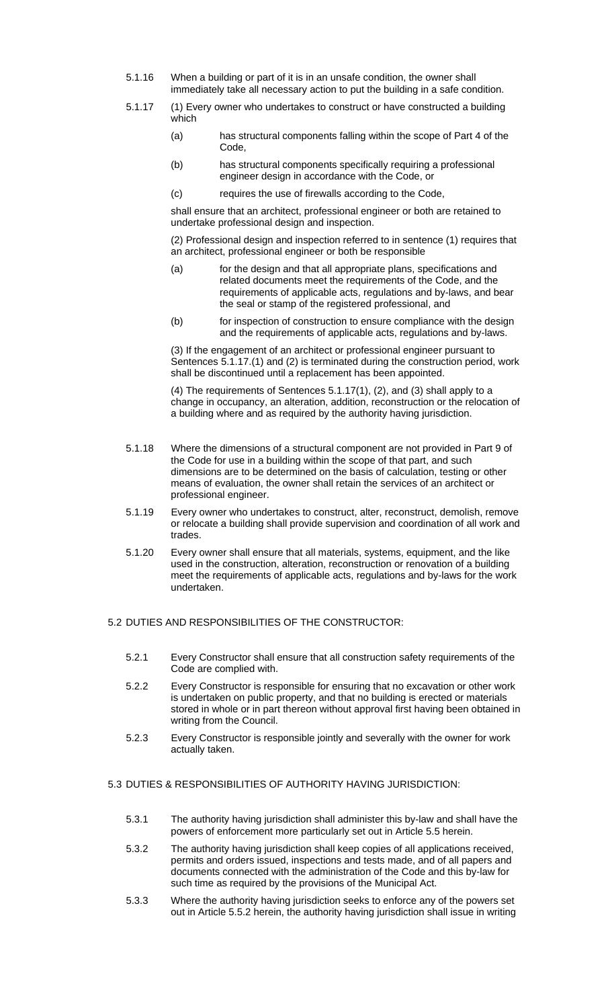- 5.1.16 When a building or part of it is in an unsafe condition, the owner shall immediately take all necessary action to put the building in a safe condition.
- 5.1.17 (1) Every owner who undertakes to construct or have constructed a building which
	- (a) has structural components falling within the scope of Part 4 of the Code,
	- (b) has structural components specifically requiring a professional engineer design in accordance with the Code, or
	- (c) requires the use of firewalls according to the Code,

shall ensure that an architect, professional engineer or both are retained to undertake professional design and inspection.

(2) Professional design and inspection referred to in sentence (1) requires that an architect, professional engineer or both be responsible

- (a) for the design and that all appropriate plans, specifications and related documents meet the requirements of the Code, and the requirements of applicable acts, regulations and by-laws, and bear the seal or stamp of the registered professional, and
- (b) for inspection of construction to ensure compliance with the design and the requirements of applicable acts, regulations and by-laws.

(3) If the engagement of an architect or professional engineer pursuant to Sentences 5.1.17.(1) and (2) is terminated during the construction period, work shall be discontinued until a replacement has been appointed.

(4) The requirements of Sentences 5.1.17(1), (2), and (3) shall apply to a change in occupancy, an alteration, addition, reconstruction or the relocation of a building where and as required by the authority having jurisdiction.

- 5.1.18 Where the dimensions of a structural component are not provided in Part 9 of the Code for use in a building within the scope of that part, and such dimensions are to be determined on the basis of calculation, testing or other means of evaluation, the owner shall retain the services of an architect or professional engineer.
- 5.1.19 Every owner who undertakes to construct, alter, reconstruct, demolish, remove or relocate a building shall provide supervision and coordination of all work and trades.
- 5.1.20 Every owner shall ensure that all materials, systems, equipment, and the like used in the construction, alteration, reconstruction or renovation of a building meet the requirements of applicable acts, regulations and by-laws for the work undertaken.

## 5.2 DUTIES AND RESPONSIBILITIES OF THE CONSTRUCTOR:

- 5.2.1 Every Constructor shall ensure that all construction safety requirements of the Code are complied with.
- 5.2.2 Every Constructor is responsible for ensuring that no excavation or other work is undertaken on public property, and that no building is erected or materials stored in whole or in part thereon without approval first having been obtained in writing from the Council.
- 5.2.3 Every Constructor is responsible jointly and severally with the owner for work actually taken.

## 5.3 DUTIES & RESPONSIBILITIES OF AUTHORITY HAVING JURISDICTION:

- 5.3.1 The authority having jurisdiction shall administer this by-law and shall have the powers of enforcement more particularly set out in Article 5.5 herein.
- 5.3.2 The authority having jurisdiction shall keep copies of all applications received, permits and orders issued, inspections and tests made, and of all papers and documents connected with the administration of the Code and this by-law for such time as required by the provisions of the Municipal Act.
- 5.3.3 Where the authority having jurisdiction seeks to enforce any of the powers set out in Article 5.5.2 herein, the authority having jurisdiction shall issue in writing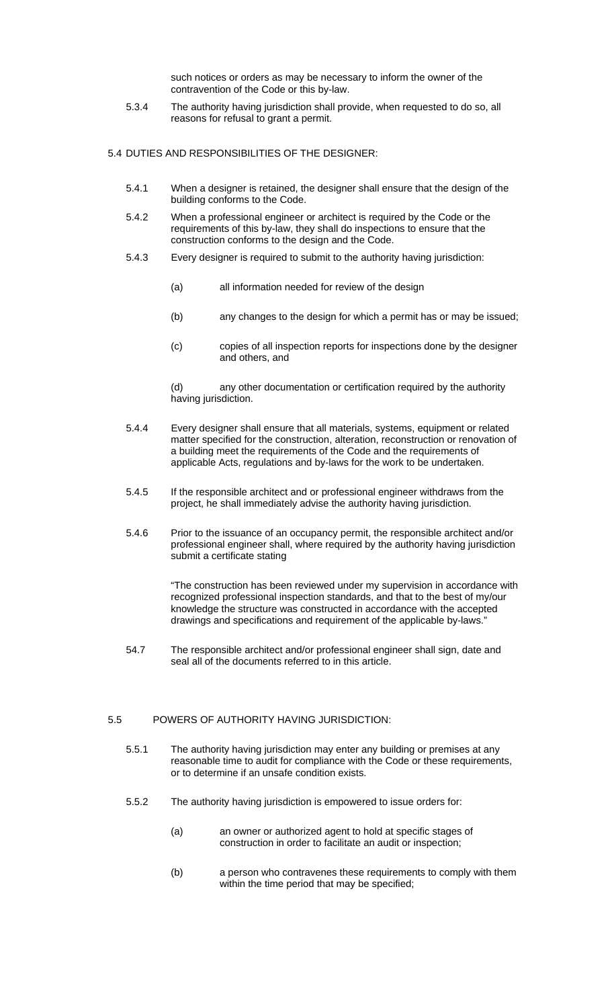such notices or orders as may be necessary to inform the owner of the contravention of the Code or this by-law.

5.3.4 The authority having jurisdiction shall provide, when requested to do so, all reasons for refusal to grant a permit.

5.4 DUTIES AND RESPONSIBILITIES OF THE DESIGNER:

- 5.4.1 When a designer is retained, the designer shall ensure that the design of the building conforms to the Code.
- 5.4.2 When a professional engineer or architect is required by the Code or the requirements of this by-law, they shall do inspections to ensure that the construction conforms to the design and the Code.
- 5.4.3 Every designer is required to submit to the authority having jurisdiction:
	- (a) all information needed for review of the design
	- (b) any changes to the design for which a permit has or may be issued;
	- (c) copies of all inspection reports for inspections done by the designer and others, and

(d) any other documentation or certification required by the authority having jurisdiction.

- 5.4.4 Every designer shall ensure that all materials, systems, equipment or related matter specified for the construction, alteration, reconstruction or renovation of a building meet the requirements of the Code and the requirements of applicable Acts, regulations and by-laws for the work to be undertaken.
- 5.4.5 If the responsible architect and or professional engineer withdraws from the project, he shall immediately advise the authority having jurisdiction.
- 5.4.6 Prior to the issuance of an occupancy permit, the responsible architect and/or professional engineer shall, where required by the authority having jurisdiction submit a certificate stating

"The construction has been reviewed under my supervision in accordance with recognized professional inspection standards, and that to the best of my/our knowledge the structure was constructed in accordance with the accepted drawings and specifications and requirement of the applicable by-laws."

54.7 The responsible architect and/or professional engineer shall sign, date and seal all of the documents referred to in this article.

## 5.5 POWERS OF AUTHORITY HAVING JURISDICTION:

- 5.5.1 The authority having jurisdiction may enter any building or premises at any reasonable time to audit for compliance with the Code or these requirements, or to determine if an unsafe condition exists.
- 5.5.2 The authority having jurisdiction is empowered to issue orders for:
	- (a) an owner or authorized agent to hold at specific stages of construction in order to facilitate an audit or inspection;
	- (b) a person who contravenes these requirements to comply with them within the time period that may be specified;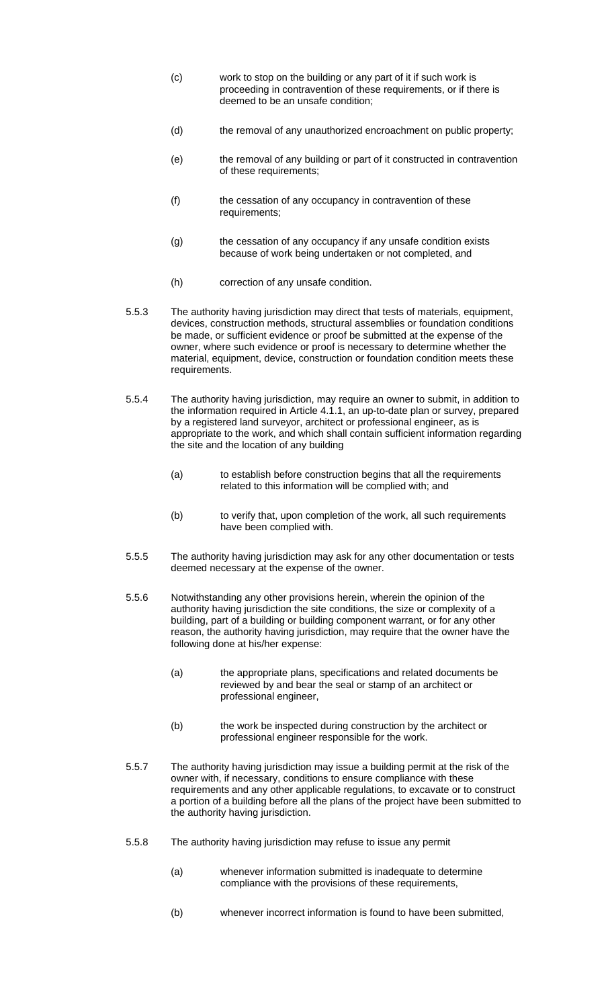- (c) work to stop on the building or any part of it if such work is proceeding in contravention of these requirements, or if there is deemed to be an unsafe condition;
- (d) the removal of any unauthorized encroachment on public property;
- (e) the removal of any building or part of it constructed in contravention of these requirements;
- (f) the cessation of any occupancy in contravention of these requirements;
- (g) the cessation of any occupancy if any unsafe condition exists because of work being undertaken or not completed, and
- (h) correction of any unsafe condition.
- 5.5.3 The authority having jurisdiction may direct that tests of materials, equipment, devices, construction methods, structural assemblies or foundation conditions be made, or sufficient evidence or proof be submitted at the expense of the owner, where such evidence or proof is necessary to determine whether the material, equipment, device, construction or foundation condition meets these requirements.
- 5.5.4 The authority having jurisdiction, may require an owner to submit, in addition to the information required in Article 4.1.1, an up-to-date plan or survey, prepared by a registered land surveyor, architect or professional engineer, as is appropriate to the work, and which shall contain sufficient information regarding the site and the location of any building
	- (a) to establish before construction begins that all the requirements related to this information will be complied with; and
	- (b) to verify that, upon completion of the work, all such requirements have been complied with.
- 5.5.5 The authority having jurisdiction may ask for any other documentation or tests deemed necessary at the expense of the owner.
- 5.5.6 Notwithstanding any other provisions herein, wherein the opinion of the authority having jurisdiction the site conditions, the size or complexity of a building, part of a building or building component warrant, or for any other reason, the authority having jurisdiction, may require that the owner have the following done at his/her expense:
	- (a) the appropriate plans, specifications and related documents be reviewed by and bear the seal or stamp of an architect or professional engineer,
	- (b) the work be inspected during construction by the architect or professional engineer responsible for the work.
- 5.5.7 The authority having jurisdiction may issue a building permit at the risk of the owner with, if necessary, conditions to ensure compliance with these requirements and any other applicable regulations, to excavate or to construct a portion of a building before all the plans of the project have been submitted to the authority having jurisdiction.
- 5.5.8 The authority having jurisdiction may refuse to issue any permit
	- (a) whenever information submitted is inadequate to determine compliance with the provisions of these requirements,
	- (b) whenever incorrect information is found to have been submitted,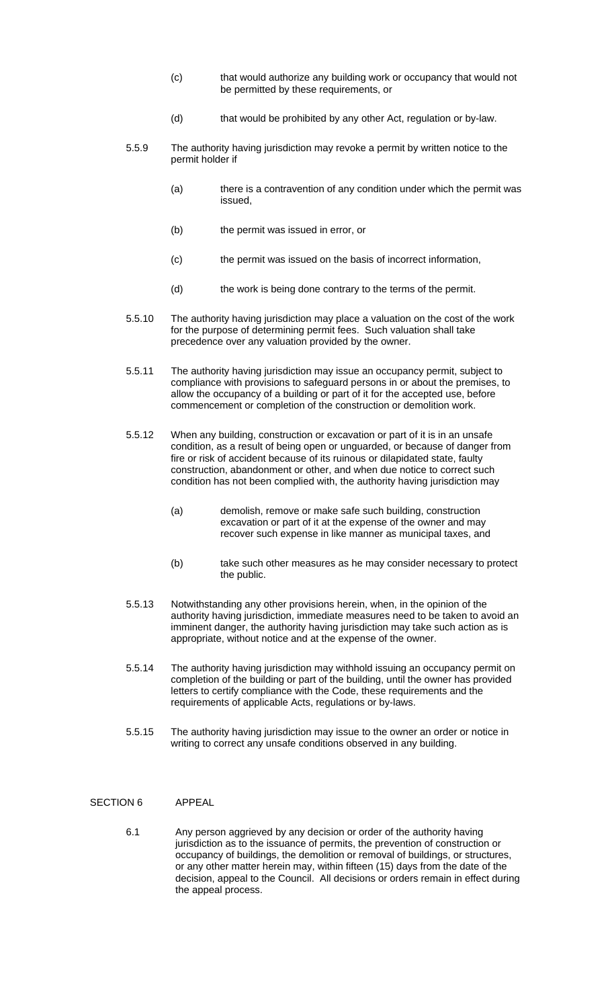- (c) that would authorize any building work or occupancy that would not be permitted by these requirements, or
- (d) that would be prohibited by any other Act, regulation or by-law.
- 5.5.9 The authority having jurisdiction may revoke a permit by written notice to the permit holder if
	- (a) there is a contravention of any condition under which the permit was issued,
	- (b) the permit was issued in error, or
	- (c) the permit was issued on the basis of incorrect information,
	- (d) the work is being done contrary to the terms of the permit.
- 5.5.10 The authority having jurisdiction may place a valuation on the cost of the work for the purpose of determining permit fees. Such valuation shall take precedence over any valuation provided by the owner.
- 5.5.11 The authority having jurisdiction may issue an occupancy permit, subject to compliance with provisions to safeguard persons in or about the premises, to allow the occupancy of a building or part of it for the accepted use, before commencement or completion of the construction or demolition work.
- 5.5.12 When any building, construction or excavation or part of it is in an unsafe condition, as a result of being open or unguarded, or because of danger from fire or risk of accident because of its ruinous or dilapidated state, faulty construction, abandonment or other, and when due notice to correct such condition has not been complied with, the authority having jurisdiction may
	- (a) demolish, remove or make safe such building, construction excavation or part of it at the expense of the owner and may recover such expense in like manner as municipal taxes, and
	- (b) take such other measures as he may consider necessary to protect the public.
- 5.5.13 Notwithstanding any other provisions herein, when, in the opinion of the authority having jurisdiction, immediate measures need to be taken to avoid an imminent danger, the authority having jurisdiction may take such action as is appropriate, without notice and at the expense of the owner.
- 5.5.14 The authority having jurisdiction may withhold issuing an occupancy permit on completion of the building or part of the building, until the owner has provided letters to certify compliance with the Code, these requirements and the requirements of applicable Acts, regulations or by-laws.
- 5.5.15 The authority having jurisdiction may issue to the owner an order or notice in writing to correct any unsafe conditions observed in any building.

#### SECTION 6 APPEAL

6.1 Any person aggrieved by any decision or order of the authority having jurisdiction as to the issuance of permits, the prevention of construction or occupancy of buildings, the demolition or removal of buildings, or structures, or any other matter herein may, within fifteen (15) days from the date of the decision, appeal to the Council. All decisions or orders remain in effect during the appeal process.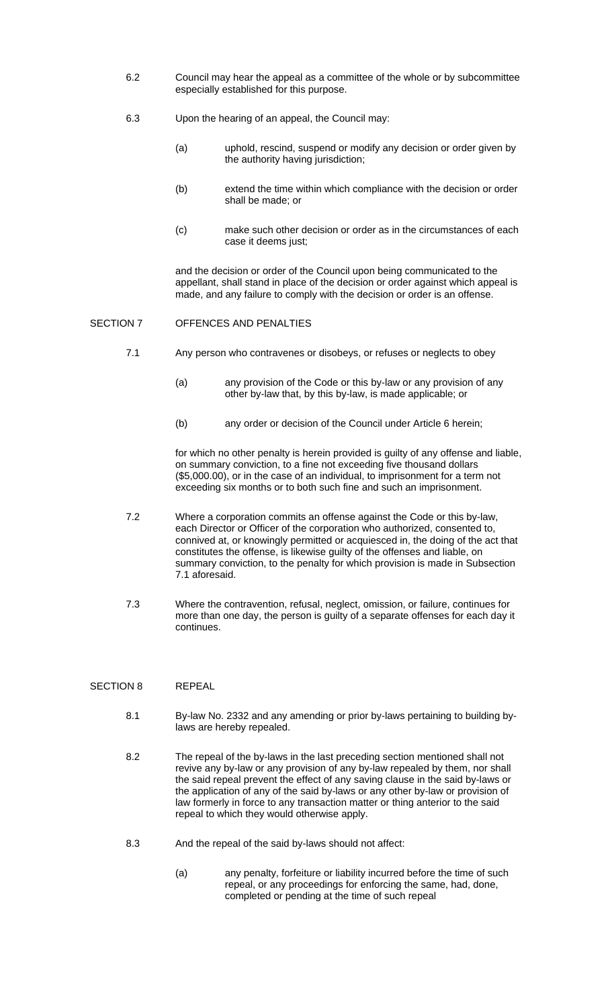- 6.2 Council may hear the appeal as a committee of the whole or by subcommittee especially established for this purpose.
- 6.3 Upon the hearing of an appeal, the Council may:
	- (a) uphold, rescind, suspend or modify any decision or order given by the authority having jurisdiction;
	- (b) extend the time within which compliance with the decision or order shall be made; or
	- (c) make such other decision or order as in the circumstances of each case it deems just;

and the decision or order of the Council upon being communicated to the appellant, shall stand in place of the decision or order against which appeal is made, and any failure to comply with the decision or order is an offense.

## SECTION 7 OFFENCES AND PENALTIES

- 7.1 Any person who contravenes or disobeys, or refuses or neglects to obey
	- (a) any provision of the Code or this by-law or any provision of any other by-law that, by this by-law, is made applicable; or
	- (b) any order or decision of the Council under Article 6 herein;

for which no other penalty is herein provided is guilty of any offense and liable, on summary conviction, to a fine not exceeding five thousand dollars (\$5,000.00), or in the case of an individual, to imprisonment for a term not exceeding six months or to both such fine and such an imprisonment.

- 7.2 Where a corporation commits an offense against the Code or this by-law, each Director or Officer of the corporation who authorized, consented to, connived at, or knowingly permitted or acquiesced in, the doing of the act that constitutes the offense, is likewise guilty of the offenses and liable, on summary conviction, to the penalty for which provision is made in Subsection 7.1 aforesaid.
- 7.3 Where the contravention, refusal, neglect, omission, or failure, continues for more than one day, the person is guilty of a separate offenses for each day it continues.

#### SECTION 8 REPEAL

- 8.1 By-law No. 2332 and any amending or prior by-laws pertaining to building bylaws are hereby repealed.
- 8.2 The repeal of the by-laws in the last preceding section mentioned shall not revive any by-law or any provision of any by-law repealed by them, nor shall the said repeal prevent the effect of any saving clause in the said by-laws or the application of any of the said by-laws or any other by-law or provision of law formerly in force to any transaction matter or thing anterior to the said repeal to which they would otherwise apply.
- 8.3 And the repeal of the said by-laws should not affect:
	- (a) any penalty, forfeiture or liability incurred before the time of such repeal, or any proceedings for enforcing the same, had, done, completed or pending at the time of such repeal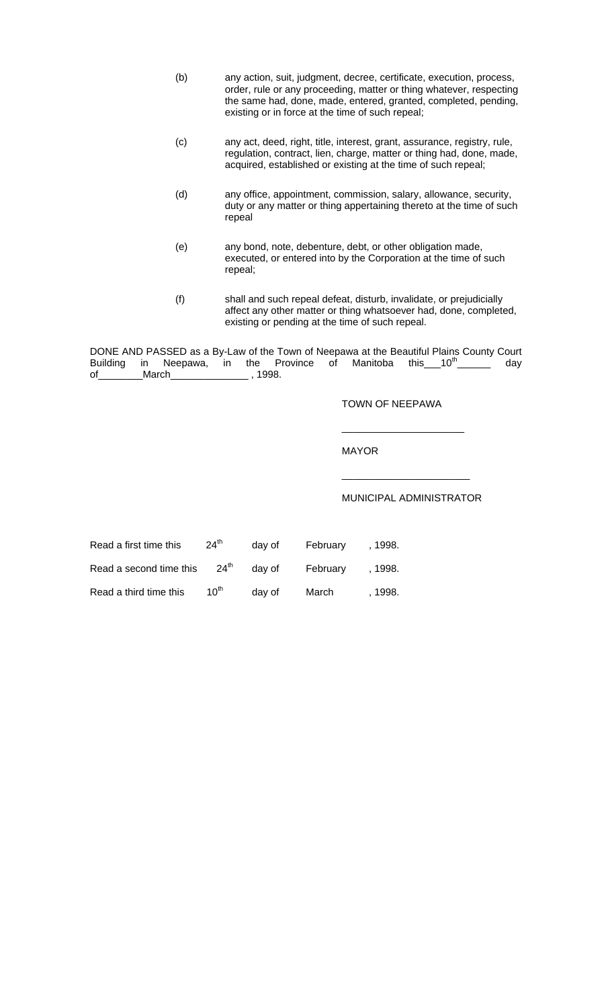| (b) | any action, suit, judgment, decree, certificate, execution, process, |
|-----|----------------------------------------------------------------------|
|     | order, rule or any proceeding, matter or thing whatever, respecting  |
|     | the same had, done, made, entered, granted, completed, pending,      |
|     | existing or in force at the time of such repeal;                     |

- (c) any act, deed, right, title, interest, grant, assurance, registry, rule, regulation, contract, lien, charge, matter or thing had, done, made, acquired, established or existing at the time of such repeal;
- (d) any office, appointment, commission, salary, allowance, security, duty or any matter or thing appertaining thereto at the time of such repeal
- (e) any bond, note, debenture, debt, or other obligation made, executed, or entered into by the Corporation at the time of such repeal;
- (f) shall and such repeal defeat, disturb, invalidate, or prejudicially affect any other matter or thing whatsoever had, done, completed, existing or pending at the time of such repeal.

DONE AND PASSED as a By-Law of the Town of Neepawa at the Beautiful Plains County Court Building in Neepawa, in the Province of Manitoba this  $10^{th}$  day of Manitoba this  $10^{th}$ \_March\_\_\_\_\_\_\_\_\_\_\_\_\_\_\_\_ , 1998.

\_\_\_\_\_\_\_\_\_\_\_\_\_\_\_\_\_\_\_\_\_\_

 $\overline{\phantom{a}}$  , which is a set of the set of the set of the set of the set of the set of the set of the set of the set of the set of the set of the set of the set of the set of the set of the set of the set of the set of th

TOWN OF NEEPAWA

MAYOR

MUNICIPAL ADMINISTRATOR

| Read a first time this  | 24 <sup>th</sup> | day of | February | . 1998. |
|-------------------------|------------------|--------|----------|---------|
| Read a second time this | $24^{\text{th}}$ | day of | February | . 1998. |
| Read a third time this  | 10 <sup>th</sup> | day of | March    | . 1998. |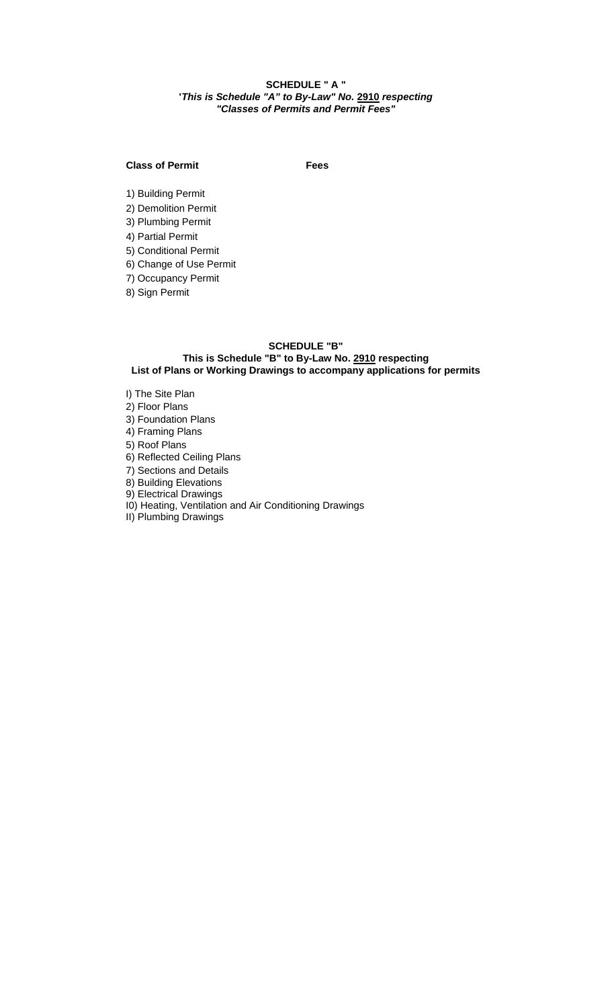## **SCHEDULE " A " '***This is Schedule "A" to By-Law" No.* **2910** *respecting "Classes of Permits and Permit Fees"*

## **Class of Permit** Fees

1) Building Permit

2) Demolition Permit

3) Plumbing Permit

4) Partial Permit

5) Conditional Permit

6) Change of Use Permit

7) Occupancy Permit

8) Sign Permit

## **SCHEDULE "B"**

# **This is Schedule "B" to By-Law No. 2910 respecting**

**List of Plans or Working Drawings to accompany applications for permits**

I) The Site Plan 2) Floor Plans 3) Foundation Plans 4) Framing Plans 5) Roof Plans

6) Reflected Ceiling Plans

7) Sections and Details

8) Building Elevations

9) Electrical Drawings

I0) Heating, Ventilation and Air Conditioning Drawings

II) Plumbing Drawings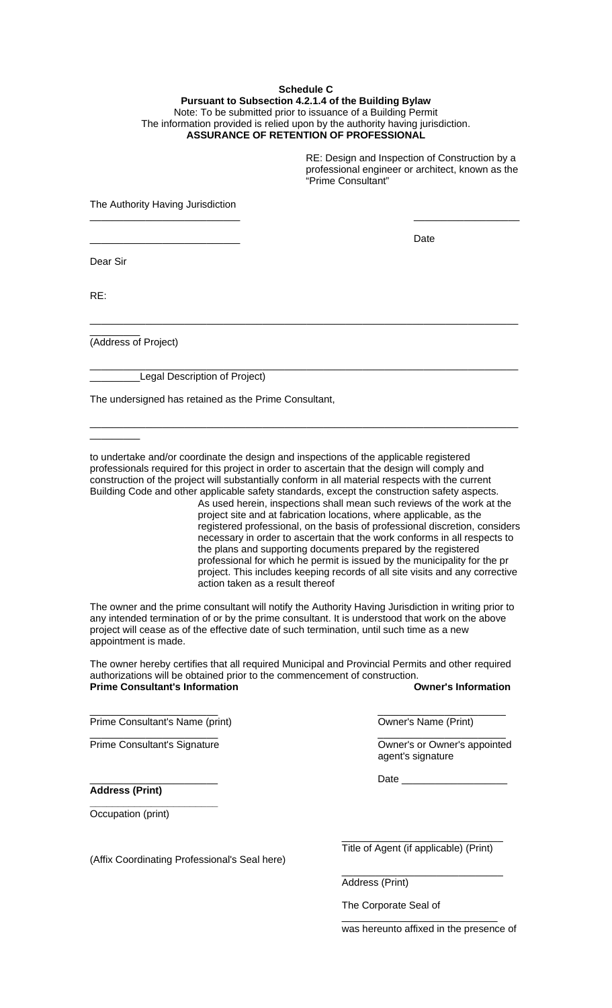#### **Schedule C Pursuant to Subsection 4.2.1.4 of the Building Bylaw**  Note: To be submitted prior to issuance of a Building Permit The information provided is relied upon by the authority having jurisdiction. **ASSURANCE OF RETENTION OF PROFESSIONAL**

\_\_\_\_\_\_\_\_\_\_\_\_\_\_\_\_\_\_\_\_\_\_\_\_\_\_\_ \_\_\_\_\_\_\_\_\_\_\_\_\_\_\_\_\_\_\_

\_\_\_\_\_\_\_\_\_\_\_\_\_\_\_\_\_\_\_\_\_\_\_\_\_\_\_\_\_\_\_\_\_\_\_\_\_\_\_\_\_\_\_\_\_\_\_\_\_\_\_\_\_\_\_\_\_\_\_\_\_\_\_\_\_\_\_\_\_\_\_\_\_\_\_\_\_

\_\_\_\_\_\_\_\_\_\_\_\_\_\_\_\_\_\_\_\_\_\_\_\_\_\_\_\_\_\_\_\_\_\_\_\_\_\_\_\_\_\_\_\_\_\_\_\_\_\_\_\_\_\_\_\_\_\_\_\_\_\_\_\_\_\_\_\_\_\_\_\_\_\_\_\_\_

\_\_\_\_\_\_\_\_\_\_\_\_\_\_\_\_\_\_\_\_\_\_\_\_\_\_\_\_\_\_\_\_\_\_\_\_\_\_\_\_\_\_\_\_\_\_\_\_\_\_\_\_\_\_\_\_\_\_\_\_\_\_\_\_\_\_\_\_\_\_\_\_\_\_\_\_\_

RE: Design and Inspection of Construction by a professional engineer or architect, known as the "Prime Consultant"

The Authority Having Jurisdiction

\_\_\_\_\_\_\_\_\_\_\_\_\_\_\_\_\_\_\_\_\_\_\_\_\_\_\_ Date

Dear Sir

RE:

(Address of Project)

\_\_\_\_\_\_\_\_\_

\_\_\_\_\_\_\_\_\_

Legal Description of Project)

The undersigned has retained as the Prime Consultant,

to undertake and/or coordinate the design and inspections of the applicable registered professionals required for this project in order to ascertain that the design will comply and construction of the project will substantially conform in all material respects with the current Building Code and other applicable safety standards, except the construction safety aspects.

As used herein, inspections shall mean such reviews of the work at the project site and at fabrication locations, where applicable, as the registered professional, on the basis of professional discretion, considers necessary in order to ascertain that the work conforms in all respects to the plans and supporting documents prepared by the registered professional for which he permit is issued by the municipality for the pr project. This includes keeping records of all site visits and any corrective action taken as a result thereof

The owner and the prime consultant will notify the Authority Having Jurisdiction in writing prior to any intended termination of or by the prime consultant. It is understood that work on the above project will cease as of the effective date of such termination, until such time as a new appointment is made.

The owner hereby certifies that all required Municipal and Provincial Permits and other required authorizations will be obtained prior to the commencement of construction. **Prime Consultant's Information Consultant's Information Owner's Information** 

\_\_\_\_\_\_\_\_\_\_\_\_\_\_\_\_\_\_\_\_\_\_\_ \_\_\_\_\_\_\_\_\_\_\_\_\_\_\_\_\_\_\_\_\_\_\_

\_\_\_\_\_\_\_\_\_\_\_\_\_\_\_\_\_\_\_\_\_\_\_ \_\_\_\_\_\_\_\_\_\_\_\_\_\_\_\_\_\_\_\_\_\_\_

 $\frac{1}{\sqrt{2}}$  ,  $\frac{1}{\sqrt{2}}$  ,  $\frac{1}{\sqrt{2}}$  ,  $\frac{1}{\sqrt{2}}$  ,  $\frac{1}{\sqrt{2}}$  ,  $\frac{1}{\sqrt{2}}$  ,  $\frac{1}{\sqrt{2}}$  ,  $\frac{1}{\sqrt{2}}$  ,  $\frac{1}{\sqrt{2}}$  ,  $\frac{1}{\sqrt{2}}$  ,  $\frac{1}{\sqrt{2}}$  ,  $\frac{1}{\sqrt{2}}$  ,  $\frac{1}{\sqrt{2}}$  ,  $\frac{1}{\sqrt{2}}$  ,  $\frac{1}{\sqrt{2}}$ 

Prime Consultant's Name (print) Owner's Name (Print)

**\_\_\_\_\_\_\_\_\_\_\_\_\_\_\_\_\_\_\_\_\_\_\_** 

**Address (Print)** 

Occupation (print)

Prime Consultant's Signature **Consultant's Signature Consultant's Signature Consultant Consultant Consultant Consultant Consultant Consultant Consultant Consultant Consultant Consultant Consultant** agent's signature

\_\_\_\_\_\_\_\_\_\_\_\_\_\_\_\_\_\_\_\_\_\_\_ Date \_\_\_\_\_\_\_\_\_\_\_\_\_\_\_\_\_\_\_

(Affix Coordinating Professional's Seal here)

Title of Agent (if applicable) (Print)

\_\_\_\_\_\_\_\_\_\_\_\_\_\_\_\_\_\_\_\_\_\_\_\_\_\_\_\_\_

Address (Print)

The Corporate Seal of

was hereunto affixed in the presence of

\_\_\_\_\_\_\_\_\_\_\_\_\_\_\_\_\_\_\_\_\_\_\_\_\_\_\_\_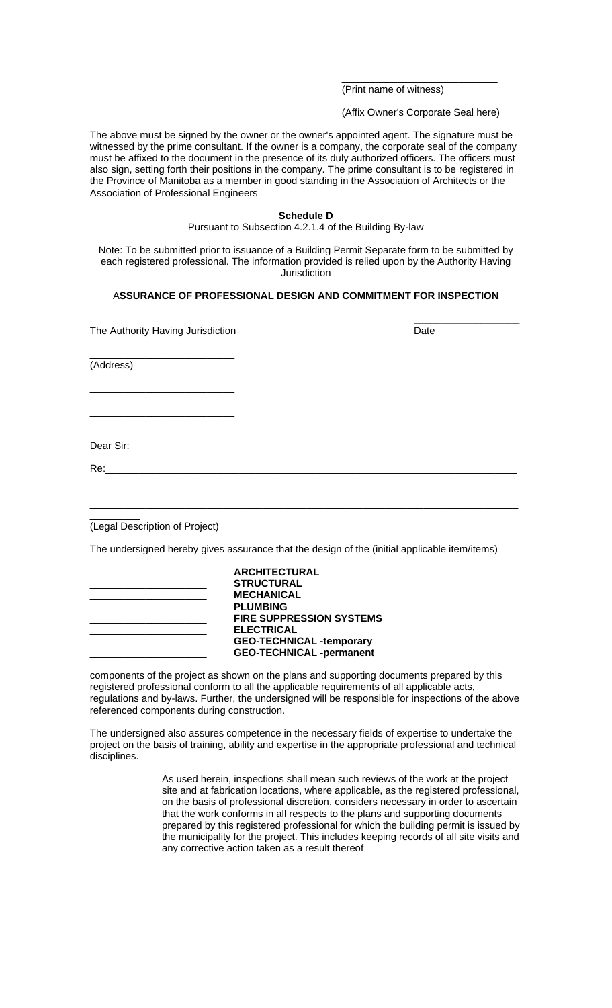(Print name of witness)

(Affix Owner's Corporate Seal here)

\_\_\_\_\_\_\_\_\_\_\_\_\_\_\_\_\_\_\_\_\_\_\_\_\_\_\_\_

The above must be signed by the owner or the owner's appointed agent. The signature must be witnessed by the prime consultant. If the owner is a company, the corporate seal of the company must be affixed to the document in the presence of its duly authorized officers. The officers must also sign, setting forth their positions in the company. The prime consultant is to be registered in the Province of Manitoba as a member in good standing in the Association of Architects or the Association of Professional Engineers

#### **Schedule D**  Pursuant to Subsection 4.2.1.4 of the Building By-law

Note: To be submitted prior to issuance of a Building Permit Separate form to be submitted by each registered professional. The information provided is relied upon by the Authority Having **Jurisdiction** 

## A**SSURANCE OF PROFESSIONAL DESIGN AND COMMITMENT FOR INSPECTION**

| The Authority Having Jurisdiction                                                             | Date |
|-----------------------------------------------------------------------------------------------|------|
| (Address)                                                                                     |      |
|                                                                                               |      |
| Dear Sir:                                                                                     |      |
|                                                                                               |      |
|                                                                                               |      |
| (Legal Description of Project)                                                                |      |
| The undersigned hereby gives assurance that the design of the (initial applicable item/items) |      |
| <b>ARCHITECTURAL</b><br><b>STRUCTURAL</b><br><b>MECHANICAL</b>                                |      |

| <b>STRUCTURAL</b>               |
|---------------------------------|
| <b>MECHANICAL</b>               |
| <b>PLUMBING</b>                 |
| <b>FIRE SUPPRESSION SYSTEMS</b> |
| <b>ELECTRICAL</b>               |
| <b>GEO-TECHNICAL -temporary</b> |
| <b>GEO-TECHNICAL -permanent</b> |

components of the project as shown on the plans and supporting documents prepared by this registered professional conform to all the applicable requirements of all applicable acts, regulations and by-laws. Further, the undersigned will be responsible for inspections of the above referenced components during construction.

The undersigned also assures competence in the necessary fields of expertise to undertake the project on the basis of training, ability and expertise in the appropriate professional and technical disciplines.

> As used herein, inspections shall mean such reviews of the work at the project site and at fabrication locations, where applicable, as the registered professional, on the basis of professional discretion, considers necessary in order to ascertain that the work conforms in all respects to the plans and supporting documents prepared by this registered professional for which the building permit is issued by the municipality for the project. This includes keeping records of all site visits and any corrective action taken as a result thereof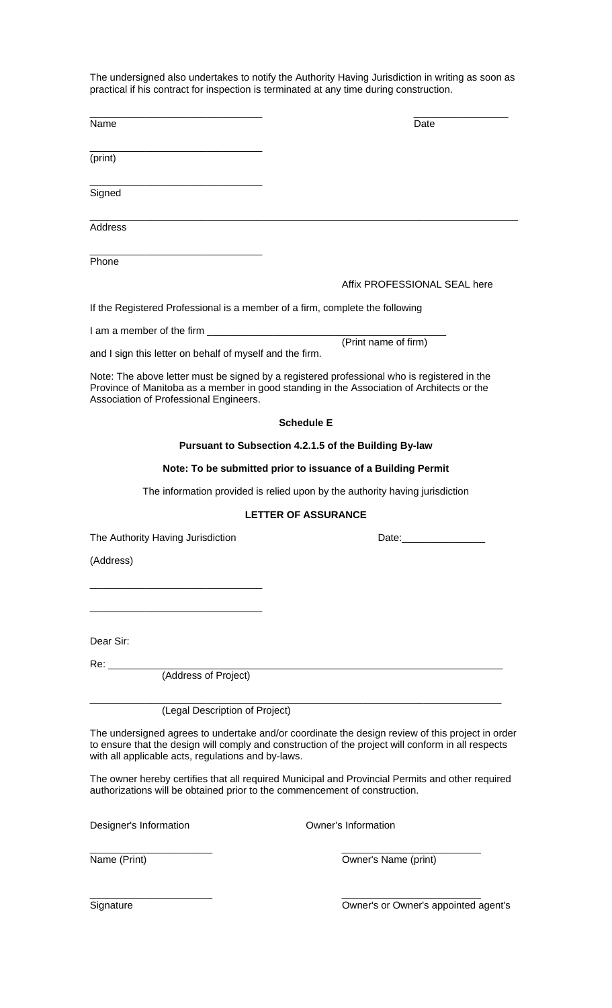The undersigned also undertakes to notify the Authority Having Jurisdiction in writing as soon as practical if his contract for inspection is terminated at any time during construction.

| Name                                                                         | Date                                                                                                                                                                                                                           |
|------------------------------------------------------------------------------|--------------------------------------------------------------------------------------------------------------------------------------------------------------------------------------------------------------------------------|
| (print)                                                                      |                                                                                                                                                                                                                                |
|                                                                              |                                                                                                                                                                                                                                |
| Signed                                                                       |                                                                                                                                                                                                                                |
| Address                                                                      |                                                                                                                                                                                                                                |
| Phone                                                                        |                                                                                                                                                                                                                                |
|                                                                              | Affix PROFESSIONAL SEAL here                                                                                                                                                                                                   |
| If the Registered Professional is a member of a firm, complete the following |                                                                                                                                                                                                                                |
|                                                                              |                                                                                                                                                                                                                                |
| and I sign this letter on behalf of myself and the firm.                     | (Print name of firm)                                                                                                                                                                                                           |
| Association of Professional Engineers.                                       | Note: The above letter must be signed by a registered professional who is registered in the<br>Province of Manitoba as a member in good standing in the Association of Architects or the                                       |
|                                                                              | <b>Schedule E</b>                                                                                                                                                                                                              |
|                                                                              | Pursuant to Subsection 4.2.1.5 of the Building By-law                                                                                                                                                                          |
|                                                                              | Note: To be submitted prior to issuance of a Building Permit                                                                                                                                                                   |
|                                                                              | The information provided is relied upon by the authority having jurisdiction                                                                                                                                                   |
|                                                                              |                                                                                                                                                                                                                                |
|                                                                              | <b>LETTER OF ASSURANCE</b>                                                                                                                                                                                                     |
| The Authority Having Jurisdiction                                            | Date: the contract of the contract of the contract of the contract of the contract of the contract of the contract of the contract of the contract of the contract of the contract of the contract of the contract of the cont |
|                                                                              |                                                                                                                                                                                                                                |
| (Address)                                                                    |                                                                                                                                                                                                                                |
|                                                                              |                                                                                                                                                                                                                                |
|                                                                              |                                                                                                                                                                                                                                |
| Dear Sir:                                                                    |                                                                                                                                                                                                                                |
|                                                                              |                                                                                                                                                                                                                                |
|                                                                              |                                                                                                                                                                                                                                |
| (Legal Description of Project)                                               |                                                                                                                                                                                                                                |
| with all applicable acts, regulations and by-laws.                           | The undersigned agrees to undertake and/or coordinate the design review of this project in order<br>to ensure that the design will comply and construction of the project will conform in all respects                         |
| authorizations will be obtained prior to the commencement of construction.   | The owner hereby certifies that all required Municipal and Provincial Permits and other required                                                                                                                               |
| Designer's Information                                                       | Owner's Information                                                                                                                                                                                                            |
| Name (Print)                                                                 | Owner's Name (print)                                                                                                                                                                                                           |

Signature Owner's or Owner's appointed agent's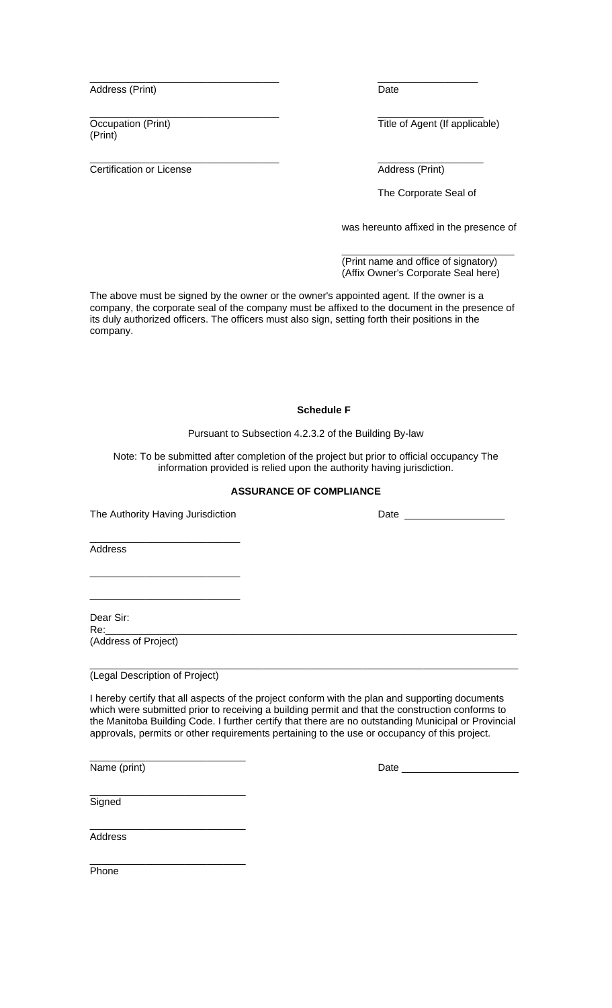Address (Print) Date

(Print)

**Certification or License Address (Print)** 

\_\_\_\_\_\_\_\_\_\_\_\_\_\_\_\_\_\_\_\_\_\_\_\_\_\_\_\_\_\_\_\_\_\_ \_\_\_\_\_\_\_\_\_\_\_\_\_\_\_\_\_\_

\_\_\_\_\_\_\_\_\_\_\_\_\_\_\_\_\_\_\_\_\_\_\_\_\_\_\_\_\_\_\_\_\_\_ \_\_\_\_\_\_\_\_\_\_\_\_\_\_\_\_\_\_\_ Occupation (Print) **Title of Agent (If applicable)** 

\_\_\_\_\_\_\_\_\_\_\_\_\_\_\_\_\_\_\_\_\_\_\_\_\_\_\_\_\_\_\_\_\_\_ \_\_\_\_\_\_\_\_\_\_\_\_\_\_\_\_\_\_\_

The Corporate Seal of

was hereunto affixed in the presence of

 (Print name and office of signatory) (Affix Owner's Corporate Seal here)

The above must be signed by the owner or the owner's appointed agent. If the owner is a company, the corporate seal of the company must be affixed to the document in the presence of its duly authorized officers. The officers must also sign, setting forth their positions in the company.

 $\frac{1}{\sqrt{2}}$  , and the state of the state of the state of the state of the state of the state of the state of the state of the state of the state of the state of the state of the state of the state of the state of the sta

#### **Schedule F**

Pursuant to Subsection 4.2.3.2 of the Building By-law

Note: To be submitted after completion of the project but prior to official occupancy The information provided is relied upon the authority having jurisdiction.

## **ASSURANCE OF COMPLIANCE**

The Authority Having Jurisdiction example and Date Late Date Date

\_\_\_\_\_\_\_\_\_\_\_\_\_\_\_\_\_\_\_\_\_\_\_\_\_\_\_

\_\_\_\_\_\_\_\_\_\_\_\_\_\_\_\_\_\_\_\_\_\_\_\_\_\_\_

\_\_\_\_\_\_\_\_\_\_\_\_\_\_\_\_\_\_\_\_\_\_\_\_\_\_\_ Address

Dear Sir:

Re:\_\_\_\_\_\_\_\_\_\_\_\_\_\_\_\_\_\_\_\_\_\_\_\_\_\_\_\_\_\_\_\_\_\_\_\_\_\_\_\_\_\_\_\_\_\_\_\_\_\_\_\_\_\_\_\_\_\_\_\_\_\_\_\_\_\_\_\_\_\_\_\_\_\_ (Address of Project)

\_\_\_\_\_\_\_\_\_\_\_\_\_\_\_\_\_\_\_\_\_\_\_\_\_\_\_\_\_\_\_\_\_\_\_\_\_\_\_\_\_\_\_\_\_\_\_\_\_\_\_\_\_\_\_\_\_\_\_\_\_\_\_\_\_\_\_\_\_\_\_\_\_\_\_\_\_ (Legal Description of Project)

\_\_\_\_\_\_\_\_\_\_\_\_\_\_\_\_\_\_\_\_\_\_\_\_\_\_\_\_

I hereby certify that all aspects of the project conform with the plan and supporting documents which were submitted prior to receiving a building permit and that the construction conforms to the Manitoba Building Code. I further certify that there are no outstanding Municipal or Provincial approvals, permits or other requirements pertaining to the use or occupancy of this project.

\_\_\_\_\_\_\_\_\_\_\_\_\_\_\_\_\_\_\_\_\_\_\_\_\_\_\_\_ Name (print) Date \_\_\_\_\_\_\_\_\_\_\_\_\_\_\_\_\_\_\_\_\_

\_\_\_\_\_\_\_\_\_\_\_\_\_\_\_\_\_\_\_\_\_\_\_\_\_\_\_\_ **Signed** 

Address

\_\_\_\_\_\_\_\_\_\_\_\_\_\_\_\_\_\_\_\_\_\_\_\_\_\_\_\_ Phone